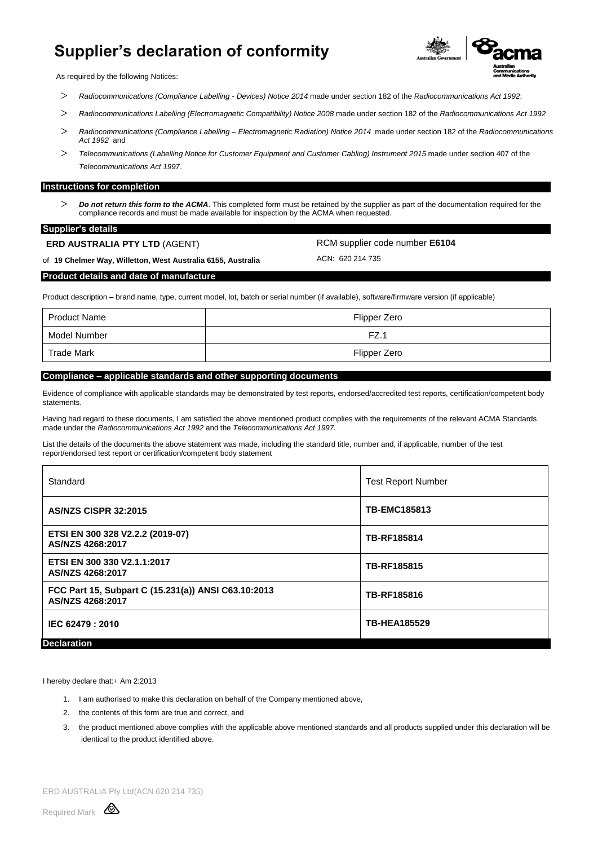## **Supplier's declaration of conformity**



As required by the following Notices:

- *Radiocommunications (Compliance Labelling - Devices) Notice 2014* made under section 182 of the *Radiocommunications Act 1992*;
- *Radiocommunications Labelling (Electromagnetic Compatibility) Notice 2008* made under section 182 of the *Radiocommunications Act 1992*
- *Radiocommunications (Compliance Labelling – Electromagnetic Radiation) Notice 2014* made under section 182 of the *Radiocommunications Act 1992* and
- *Telecommunications (Labelling Notice for Customer Equipment and Customer Cabling) Instrument 2015* made under section 407 of the *Telecommunications Act 1997*.

#### **Instructions for completion**

 *Do not return this form to the ACMA*. This completed form must be retained by the supplier as part of the documentation required for the compliance records and must be made available for inspection by the ACMA when requested.

#### **Supplier's details**

**ERD AUSTRALIA PTY LTD** (AGENT)

RCM supplier code number **E6104**

of **19 Chelmer Way, Willetton, West Australia 6155, Australia**

ACN: 620 214 735

#### **Product details and date of manufacture**

Product description – brand name, type, current model, lot, batch or serial number (if available), software/firmware version (if applicable)

| Product Name | Flipper Zero |
|--------------|--------------|
| Model Number | FZ.          |
| Trade Mark   | Flipper Zero |

### **Compliance – applicable standards and other supporting documents**

Evidence of compliance with applicable standards may be demonstrated by test reports, endorsed/accredited test reports, certification/competent body statements.

Having had regard to these documents, I am satisfied the above mentioned product complies with the requirements of the relevant ACMA Standards made under the *Radiocommunications Act 1992* and the *Telecommunications Act 1997.*

List the details of the documents the above statement was made, including the standard title, number and, if applicable, number of the test report/endorsed test report or certification/competent body statement

| Standard                                                                | <b>Test Report Number</b> |
|-------------------------------------------------------------------------|---------------------------|
| <b>AS/NZS CISPR 32:2015</b>                                             | <b>TB-EMC185813</b>       |
| ETSI EN 300 328 V2.2.2 (2019-07)<br>AS/NZS 4268:2017                    | TB-RF185814               |
| ETSI EN 300 330 V2.1.1:2017<br>AS/NZS 4268:2017                         | TB-RF185815               |
| FCC Part 15, Subpart C (15.231(a)) ANSI C63.10:2013<br>AS/NZS 4268:2017 | TB-RF185816               |
| IEC 62479: 2010                                                         | <b>TB-HEA185529</b>       |
| <b>Declaration</b>                                                      |                           |

I hereby declare that:+ Am 2:2013

- 1. I am authorised to make this declaration on behalf of the Company mentioned above,
- 2. the contents of this form are true and correct, and
- 3. the product mentioned above complies with the applicable above mentioned standards and all products supplied under this declaration will be identical to the product identified above.